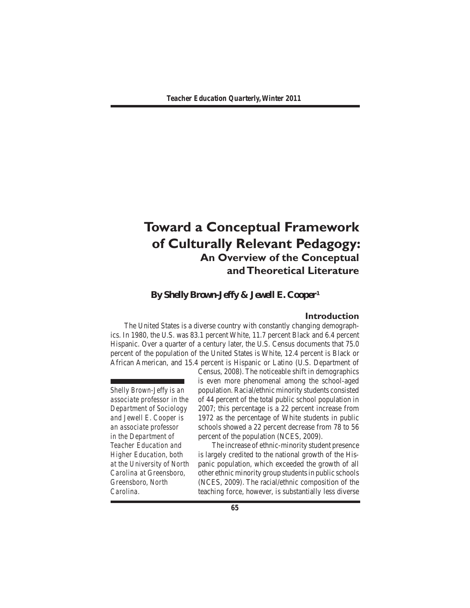# **Toward a Conceptual Framework of Culturally Relevant Pedagogy: An Overview of the Conceptual and Theoretical Literature**

**By Shelly Brown-Jeffy & Jewell E. Cooper1**

# **Introduction**

 The United States is a diverse country with constantly changing demographics. In 1980, the U.S. was 83.1 percent White, 11.7 percent Black and 6.4 percent Hispanic. Over a quarter of a century later, the U.S. Census documents that 75.0 percent of the population of the United States is White, 12.4 percent is Black or African American, and 15.4 percent is Hispanic or Latino (U.S. Department of

*Shelly Brown-Jeffy is an associate professor in the Department of Sociology and Jewell E. Cooper is an associate professor in the Department of Teacher Education and Higher Education, both at the University of North Carolina at Greensboro, Greensboro, North Carolina.*

Census, 2008). The noticeable shift in demographics is even more phenomenal among the school-aged population. Racial/ethnic minority students consisted of 44 percent of the total public school population in 2007; this percentage is a 22 percent increase from 1972 as the percentage of White students in public schools showed a 22 percent decrease from 78 to 56 percent of the population (NCES, 2009).

 The increase of ethnic-minority student presence is largely credited to the national growth of the Hispanic population, which exceeded the growth of all other ethnic minority group studentsin public schools (NCES, 2009). The racial/ethnic composition of the teaching force, however, is substantially less diverse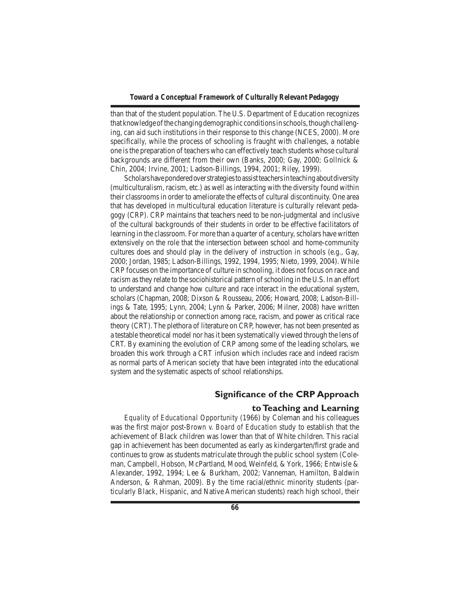than that of the student population. The U.S. Department of Education recognizes that knowledge of the changing demographic conditions in schools, though challenging, can aid such institutions in their response to this change (NCES, 2000). More specifically, while the process of schooling is fraught with challenges, a notable one isthe preparation of teachers who can effectively teach students whose cultural backgrounds are different from their own (Banks, 2000; Gay, 2000; Gollnick & Chin, 2004; Irvine, 2001; Ladson-Billings, 1994, 2001; Riley, 1999).

Scholars have pondered over strategies to assist teachers in teaching about diversity (multiculturalism, racism, etc.) as well as interacting with the diversity found within their classrooms in order to ameliorate the effects of cultural discontinuity. One area that has developed in multicultural education literature is culturally relevant pedagogy (CRP). CRP maintains that teachers need to be non-judgmental and inclusive of the cultural backgrounds of their students in order to be effective facilitators of learning in the classroom. For more than a quarter of a century, scholars have written extensively on the role that the intersection between school and home-community cultures does and should play in the delivery of instruction in schools (e.g., Gay, 2000; Jordan, 1985; Ladson-Billings, 1992, 1994, 1995; Nieto, 1999, 2004). While CRP focuses on the importance of culture in schooling, it does not focus on race and racism as they relate to the sociohistorical pattern of schooling in the U.S. In an effort to understand and change how culture and race interact in the educational system, scholars (Chapman, 2008; Dixson & Rousseau, 2006; Howard, 2008; Ladson-Billings & Tate, 1995; Lynn, 2004; Lynn & Parker, 2006; Milner, 2008) have written about the relationship or connection among race, racism, and power as critical race theory (CRT). The plethora of literature on CRP, however, has not been presented as a testable theoretical model nor hasit been systematically viewed through the lens of CRT. By examining the evolution of CRP among some of the leading scholars, we broaden this work through a CRT infusion which includes race and indeed racism as normal parts of American society that have been integrated into the educational system and the systematic aspects of school relationships.

# **Significance of the CRP Approach**

# **to Teaching and Learning**

*Equality of Educational Opportunity* (1966) by Coleman and his colleagues was the first major post-*Brown v. Board of Education* study to establish that the achievement of Black children was lower than that of White children. This racial gap in achievement has been documented as early as kindergarten/first grade and continues to grow as students matriculate through the public school system (Coleman, Campbell, Hobson, McPartland, Mood, Weinfeld, & York, 1966; Entwisle & Alexander, 1992, 1994; Lee & Burkham, 2002; Vanneman, Hamilton, Baldwin Anderson, & Rahman, 2009). By the time racial/ethnic minority students (particularly Black, Hispanic, and Native American students) reach high school, their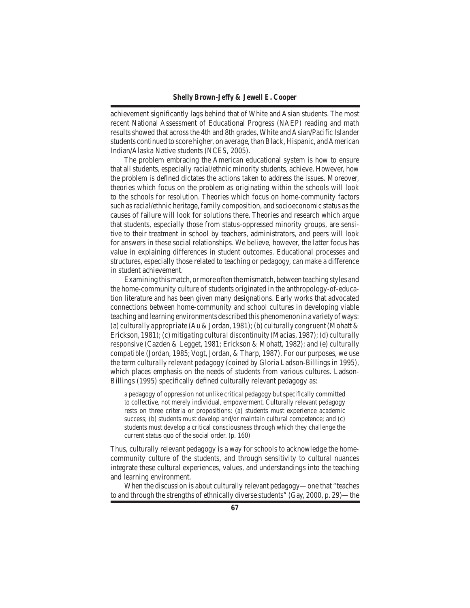achievement significantly lags behind that of White and Asian students. The most recent National Assessment of Educational Progress (NAEP) reading and math results showed that across the 4th and 8th grades, White andAsian/Pacific Islander students continued to score higher, on average, thanBlack, Hispanic, andAmerican Indian/Alaska Native students (NCES, 2005).

 The problem embracing the American educational system is how to ensure that all students, especially racial/ethnic minority students, achieve. However, how the problem is defined dictates the actions taken to address the issues. Moreover, theories which focus on the problem as originating within the schools will look to the schools for resolution. Theories which focus on home-community factors such asracial/ethnic heritage, family composition, and socioeconomic status asthe causes of failure will look for solutions there. Theories and research which argue that students, especially those from status-oppressed minority groups, are sensitive to their treatment in school by teachers, administrators, and peers will look for answers in these social relationships. We believe, however, the latter focus has value in explaining differences in student outcomes. Educational processes and structures, especially those related to teaching or pedagogy, can make a difference in student achievement.

Examining this match, or more often the mismatch, between teaching styles and the home-community culture of students originated in the anthropology-of-education literature and has been given many designations. Early works that advocated connections between home-community and school cultures in developing viable teaching and learning environments described this phenomenon in a variety of ways: (a) *culturally appropriate* (Au & Jordan, 1981);(b) *culturally congruent*(Mohatt & Erickson, 1981);(c) *mitigating cultural discontinuity* (Macias, 1987);(d) *culturally responsive* (Cazden & Legget, 1981; Erickson & Mohatt, 1982); and (e) *culturally compatible* (Jordan, 1985; Vogt, Jordan, & Tharp, 1987). For our purposes, we use the term *culturally relevant pedagogy* (coined by Gloria Ladson-Billings in 1995), which places emphasis on the needs of students from various cultures. Ladson-Billings (1995) specifically defined culturally relevant pedagogy as:

a pedagogy of oppression not unlike critical pedagogy but specifically committed to collective, not merely individual, empowerment. Culturally relevant pedagogy rests on three criteria or propositions: (a) students must experience academic success; (b) students must develop and/or maintain cultural competence; and (c) students must develop a critical consciousness through which they challenge the current status quo of the social order. (p. 160)

Thus, culturally relevant pedagogy is a way for schools to acknowledge the homecommunity culture of the students, and through sensitivity to cultural nuances integrate these cultural experiences, values, and understandings into the teaching and learning environment.

 When the discussion is about culturally relevant pedagogy—one that "teaches to and through the strengths of ethnically diverse students" (Gay, 2000, p. 29)—the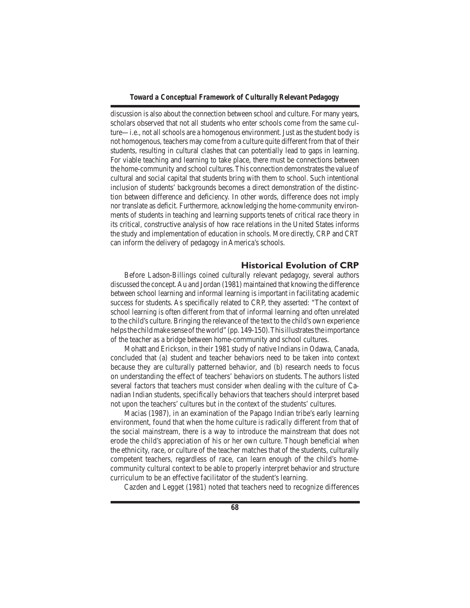discussion is also about the connection between school and culture. For many years, scholars observed that not all students who enter schools come from the same culture—i.e., not allschools are a homogenous environment.Just asthe student body is not homogenous, teachers may come from a culture quite different from that of their students, resulting in cultural clashes that can potentially lead to gaps in learning. For viable teaching and learning to take place, there must be connections between the home-community and school cultures. This connection demonstrates the value of cultural and social capital that students bring with them to school. Such intentional inclusion of students' backgrounds becomes a direct demonstration of the distinction between difference and deficiency. In other words, difference does not imply nor translate as deficit. Furthermore, acknowledging the home-community environments of students in teaching and learning supports tenets of critical race theory in its critical, constructive analysis of how race relations in the United States informs the study and implementation of education in schools. More directly, CRP and CRT can inform the delivery of pedagogy in America's schools.

# **Historical Evolution of CRP**

 Before Ladson-Billings coined culturally relevant pedagogy, several authors discussed the concept.Au and Jordan (1981) maintained that knowing the difference between school learning and informal learning is important in facilitating academic success for students. As specifically related to CRP, they asserted: "The context of school learning is often different from that of informal learning and often unrelated to the child's culture. Bringing the relevance of the text to the child's own experience helps the child make sense of the world" (pp. 149-150). This illustrates the importance of the teacher as a bridge between home-community and school cultures.

 Mohatt and Erickson, in their 1981 study of native Indians in Odawa, Canada, concluded that (a) student and teacher behaviors need to be taken into context because they are culturally patterned behavior, and (b) research needs to focus on understanding the effect of teachers' behaviors on students. The authors listed several factors that teachers must consider when dealing with the culture of Canadian Indian students, specifically behaviors that teachers should interpret based not upon the teachers' cultures but in the context of the students' cultures.

 Macias (1987), in an examination of the Papago Indian tribe's early learning environment, found that when the home culture is radically different from that of the social mainstream, there is a way to introduce the mainstream that does not erode the child's appreciation of his or her own culture. Though beneficial when the ethnicity, race, or culture of the teacher matches that of the students, culturally competent teachers, regardless of race, can learn enough of the child's homecommunity cultural context to be able to properly interpret behavior and structure curriculum to be an effective facilitator of the student's learning.

 Cazden and Legget (1981) noted that teachers need to recognize differences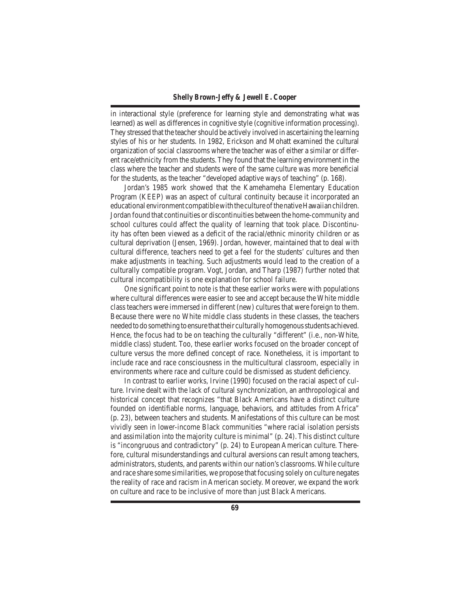in interactional style (preference for learning style and demonstrating what was learned) as well as differences in cognitive style (cognitive information processing). They stressed that the teacher should be actively involved in ascertaining the learning styles of his or her students. In 1982, Erickson and Mohatt examined the cultural organization of social classrooms where the teacher was of either a similar or different race/ethnicity from the students.They found that the learning environment in the class where the teacher and students were of the same culture was more beneficial for the students, as the teacher "developed adaptive ways of teaching" (p. 168).

 Jordan's 1985 work showed that the Kamehameha Elementary Education Program (KEEP) was an aspect of cultural continuity because it incorporated an educational environment compatible with the culture of the native Hawaiian children. Jordan found that continuities or discontinuities between the home-community and school cultures could affect the quality of learning that took place. Discontinuity has often been viewed as a deficit of the racial/ethnic minority children or as cultural deprivation (Jensen, 1969). Jordan, however, maintained that to deal with cultural difference, teachers need to get a feel for the students' cultures and then make adjustments in teaching. Such adjustments would lead to the creation of a culturally compatible program. Vogt, Jordan, and Tharp (1987) further noted that cultural incompatibility is one explanation for school failure.

 One significant point to note is that these earlier works were with populations where cultural differences were easier to see and accept because the White middle class teachers were immersed in different (new) cultures that were foreign to them. Because there were no White middle class students in these classes, the teachers neededtodosomethingtoensure thattheir culturallyhomogenousstudents achieved. Hence, the focus had to be on teaching the culturally "different" (i.e., non-White, middle class) student. Too, these earlier works focused on the broader concept of culture versus the more defined concept of race. Nonetheless, it is important to include race and race consciousness in the multicultural classroom, especially in environments where race and culture could be dismissed as student deficiency.

 In contrast to earlier works, Irvine (1990) focused on the racial aspect of culture. Irvine dealt with the lack of cultural synchronization, an anthropological and historical concept that recognizes "that Black Americans have a distinct culture founded on identifiable norms, language, behaviors, and attitudes from Africa" (p. 23), between teachers and students. Manifestations of this culture can be most vividly seen in lower-income Black communities "where racial isolation persists and assimilation into the majority culture is minimal" (p. 24). This distinct culture is "incongruous and contradictory" (p. 24) to European American culture. Therefore, cultural misunderstandings and cultural aversions can result among teachers, administrators, students, and parents within our nation's classrooms. While culture and race share some similarities, we propose that focusing solely on culture negates the reality of race and racism in American society. Moreover, we expand the work on culture and race to be inclusive of more than just Black Americans.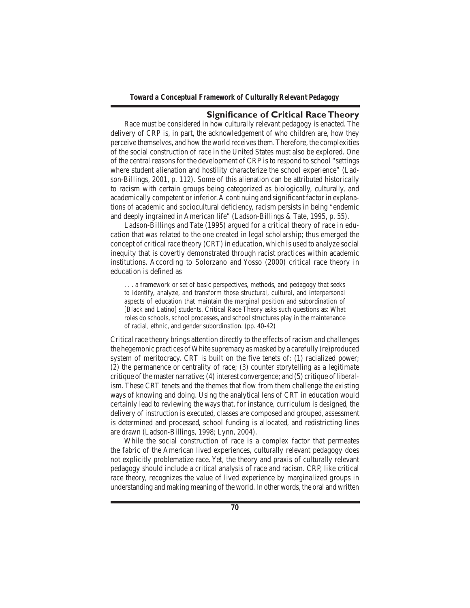# **Significance of Critical Race Theory**

 Race must be considered in how culturally relevant pedagogy is enacted. The delivery of CRP is, in part, the acknowledgement of who children are, how they perceive themselves, and how the world receivesthem.Therefore, the complexities of the social construction of race in the United States must also be explored. One of the central reasons for the development of CRP is to respond to school "settings where student alienation and hostility characterize the school experience" (Ladson-Billings, 2001, p. 112). Some of this alienation can be attributed historically to racism with certain groups being categorized as biologically, culturally, and academically competent or inferior.A continuing and significant factor in explanations of academic and sociocultural deficiency, racism persists in being "endemic and deeply ingrained in American life" (Ladson-Billings & Tate, 1995, p. 55).

 Ladson-Billings and Tate (1995) argued for a critical theory of race in education that was related to the one created in legal scholarship; thus emerged the concept of critical race theory (CRT) in education, which is used to analyze social inequity that is covertly demonstrated through racist practices within academic institutions. According to Solorzano and Yosso (2000) critical race theory in education is defined as

. . . a framework or set of basic perspectives, methods, and pedagogy that seeks to identify, analyze, and transform those structural, cultural, and interpersonal aspects of education that maintain the marginal position and subordination of [Black and Latino] students. Critical Race Theory asks such questions as: What roles do schools, school processes, and school structures play in the maintenance of racial, ethnic, and gender subordination. (pp. 40-42)

Critical race theory brings attention directly to the effects of racism and challenges the hegemonic practices of White supremacy as masked by a carefully (re)produced system of meritocracy. CRT is built on the five tenets of: (1) racialized power; (2) the permanence or centrality of race; (3) counter storytelling as a legitimate critique of the master narrative; (4) interest convergence; and (5) critique of liberalism. These CRT tenets and the themes that flow from them challenge the existing ways of knowing and doing. Using the analytical lens of CRT in education would certainly lead to reviewing the ways that, for instance, curriculum is designed, the delivery of instruction is executed, classes are composed and grouped, assessment is determined and processed, school funding is allocated, and redistricting lines are drawn (Ladson-Billings, 1998; Lynn, 2004).

 While the social construction of race is a complex factor that permeates the fabric of the American lived experiences, culturally relevant pedagogy does not explicitly problematize race. Yet, the theory and praxis of culturally relevant pedagogy should include a critical analysis of race and racism. CRP, like critical race theory, recognizes the value of lived experience by marginalized groups in understanding and making meaning of the world. In other words, the oral and written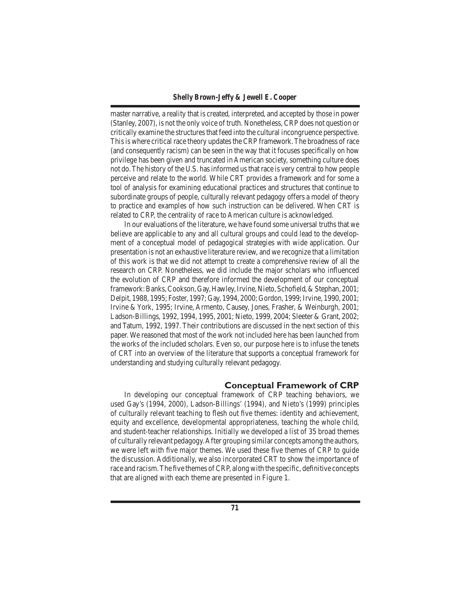master narrative, a reality that is created, interpreted, and accepted by those in power (Stanley, 2007), is not the only voice of truth. Nonetheless, CRP does not question or critically examine the structures that feed into the cultural incongruence perspective. Thisis where critical race theory updatesthe CRP framework.The broadness of race (and consequently racism) can be seen in the way that it focuses specifically on how privilege has been given and truncated in American society, something culture does not do.The history of the U.S. hasinformed usthat race is very central to how people perceive and relate to the world. While CRT provides a framework and for some a tool of analysis for examining educational practices and structures that continue to subordinate groups of people, culturally relevant pedagogy offers a model of theory to practice and examples of how such instruction can be delivered. When CRT is related to CRP, the centrality of race to American culture is acknowledged.

 In our evaluations of the literature, we have found some universal truths that we believe are applicable to any and all cultural groups and could lead to the development of a conceptual model of pedagogical strategies with wide application. Our presentation is not an exhaustive literature review, and we recognize that a limitation of this work is that we did not attempt to create a comprehensive review of all the research on CRP. Nonetheless, we did include the major scholars who influenced the evolution of CRP and therefore informed the development of our conceptual framework:Banks,Cookson,Gay,Hawley,Irvine,Nieto,Schofield,&Stephan,2001; Delpit, 1988, 1995; Foster, 1997; Gay, 1994, 2000; Gordon, 1999; Irvine, 1990, 2001; Irvine &York, 1995; Irvine, Armento, Causey, Jones, Frasher, & Weinburgh, 2001; Ladson-Billings, 1992, 1994, 1995, 2001; Nieto, 1999, 2004; Sleeter & Grant, 2002; and Tatum, 1992, 1997. Their contributions are discussed in the next section of this paper. We reasoned that most of the work not included here has been launched from the works of the included scholars. Even so, our purpose here is to infuse the tenets of CRT into an overview of the literature that supports a conceptual framework for understanding and studying culturally relevant pedagogy.

# **Conceptual Framework of CRP**

 In developing our conceptual framework of CRP teaching behaviors, we used Gay's (1994, 2000), Ladson-Billings' (1994), and Nieto's (1999) principles of culturally relevant teaching to flesh out five themes: identity and achievement, equity and excellence, developmental appropriateness, teaching the whole child, and student-teacher relationships. Initially we developed a list of 35 broad themes of culturally relevant pedagogy.After grouping similar concepts among the authors, we were left with five major themes. We used these five themes of CRP to guide the discussion. Additionally, we also incorporated CRT to show the importance of race and racism. The five themes of CRP, along with the specific, definitive concepts that are aligned with each theme are presented in Figure 1.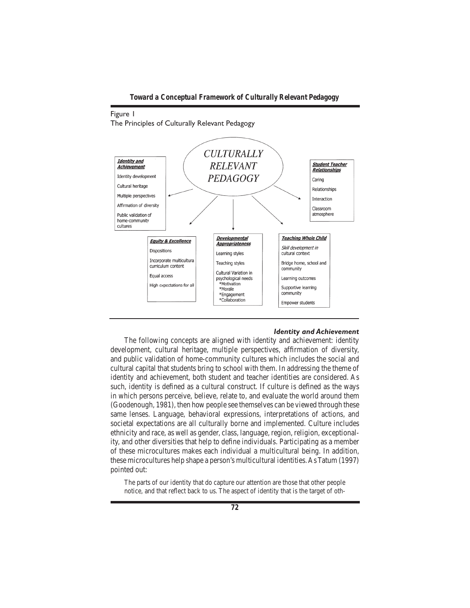*Toward a Conceptual Framework of Culturally Relevant Pedagogy*

# Figure 1

The Principles of Culturally Relevant Pedagogy



### *Identity and Achievement*

 The following concepts are aligned with identity and achievement: identity development, cultural heritage, multiple perspectives, affirmation of diversity, and public validation of home-community cultures which includes the social and cultural capital that students bring to school with them. In addressing the theme of identity and achievement, both student and teacher identities are considered. As such, identity is defined as a cultural construct. If culture is defined as the ways in which persons perceive, believe, relate to, and evaluate the world around them (Goodenough, 1981), then how people see themselves can be viewed through these same lenses. Language, behavioral expressions, interpretations of actions, and societal expectations are all culturally borne and implemented. Culture includes ethnicity and race, as well as gender, class, language, region, religion, exceptionality, and other diversities that help to define individuals. Participating as a member of these microcultures makes each individual a multicultural being. In addition, these microcultures help shape a person's multicultural identities.AsTatum (1997) pointed out:

The parts of our identity that do capture our attention are those that other people notice, and that reflect back to us. The aspect of identity that is the target of oth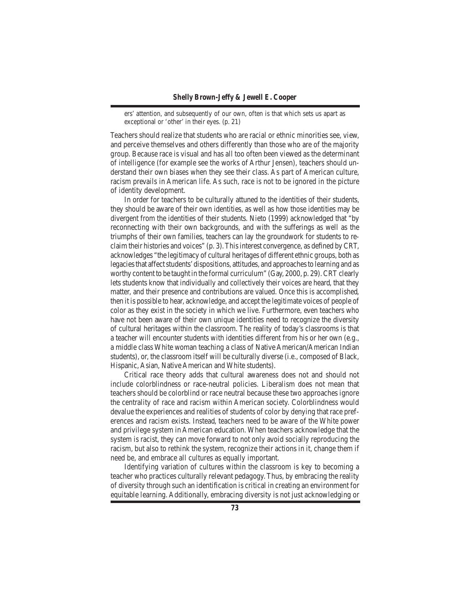ers' attention, and subsequently of our own, often is that which sets us apart as exceptional or 'other' in their eyes. (p. 21)

Teachers should realize that students who are racial or ethnic minorities see, view, and perceive themselves and others differently than those who are of the majority group. Because race is visual and has all too often been viewed as the determinant of intelligence (for example see the works of Arthur Jensen), teachers should understand their own biases when they see their class. As part of American culture, racism prevails in American life. As such, race is not to be ignored in the picture of identity development.

 In order for teachers to be culturally attuned to the identities of their students, they should be aware of their own identities, as well as how those identities may be divergent from the identities of their students. Nieto (1999) acknowledged that "by reconnecting with their own backgrounds, and with the sufferings as well as the triumphs of their own families, teachers can lay the groundwork for students to reclaim their histories and voices" (p. 3).Thisinterest convergence, as defined by CRT, acknowledges "the legitimacy of cultural heritages of different ethnic groups, both as legacies that affect students' dispositions, attitudes, and approaches to learning and as worthy content to be taught in the formal curriculum" (Gay, 2000, p. 29). CRT clearly lets students know that individually and collectively their voices are heard, that they matter, and their presence and contributions are valued. Once this is accomplished, then it is possible to hear, acknowledge, and accept the legitimate voices of people of color as they exist in the society in which we live. Furthermore, even teachers who have not been aware of their own unique identities need to recognize the diversity of cultural heritages within the classroom. The reality of today's classrooms is that a teacher will encounter students with identities different from his or her own (e.g., a middle class White woman teaching a class of Native American/American Indian students), or, the classroom itself will be culturally diverse (i.e., composed of Black, Hispanic, Asian, Native American and White students).

 Critical race theory adds that cultural awareness does not and should not include colorblindness or race-neutral policies. Liberalism does not mean that teachers should be colorblind or race neutral because these two approaches ignore the centrality of race and racism within American society. Colorblindness would devalue the experiences and realities of students of color by denying that race preferences and racism exists. Instead, teachers need to be aware of the White power and privilege system in American education. When teachers acknowledge that the system is racist, they can move forward to not only avoid socially reproducing the racism, but also to rethink the system, recognize their actions in it, change them if need be, and embrace all cultures as equally important.

 Identifying variation of cultures within the classroom is key to becoming a teacher who practices culturally relevant pedagogy. Thus, by embracing the reality of diversity through such an identification is critical in creating an environment for equitable learning. Additionally, embracing diversity is not just acknowledging or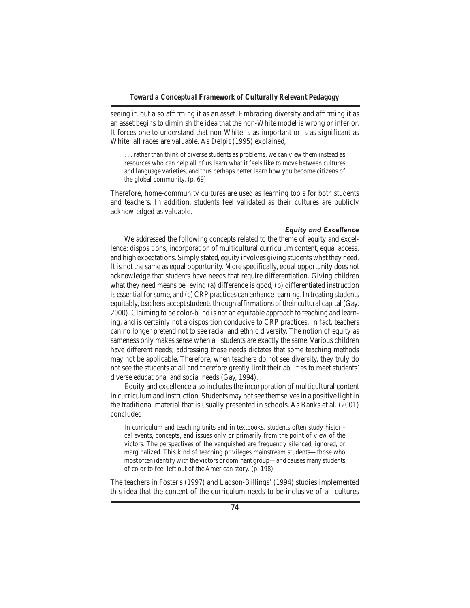seeing it, but also affirming it as an asset. Embracing diversity and affirming it as an asset begins to diminish the idea that the non-White model is wrong or inferior. It forces one to understand that non-White is as important or is as significant as White; all races are valuable. As Delpit (1995) explained,

. . . rather than think of diverse students as problems, we can view them instead as resources who can help all of us learn what it feels like to move between cultures and language varieties, and thus perhaps better learn how you become citizens of the global community. (p. 69)

Therefore, home-community cultures are used as learning tools for both students and teachers. In addition, students feel validated as their cultures are publicly acknowledged as valuable.

#### *Equity and Excellence*

We addressed the following concepts related to the theme of equity and excellence: dispositions, incorporation of multicultural curriculum content, equal access, and high expectations. Simply stated, equity involves giving students what they need. It is not the same as equal opportunity. More specifically, equal opportunity does not acknowledge that students have needs that require differentiation. Giving children what they need means believing (a) difference is good, (b) differentiated instruction is essential for some, and (c) CRP practices can enhance learning. In treating students equitably, teachers accept students through affirmations of their cultural capital (Gay, 2000). Claiming to be color-blind is not an equitable approach to teaching and learning, and is certainly not a disposition conducive to CRP practices. In fact, teachers can no longer pretend not to see racial and ethnic diversity. The notion of equity as sameness only makes sense when all students are exactly the same. Various children have different needs; addressing those needs dictates that some teaching methods may not be applicable. Therefore, when teachers do not see diversity, they truly do not see the students at all and therefore greatly limit their abilities to meet students' diverse educational and social needs (Gay, 1994).

 Equity and excellence also includes the incorporation of multicultural content in curriculum and instruction. Students may not see themselves in a positive light in the traditional material that is usually presented in schools. As Banks et al. (2001) concluded:

In curriculum and teaching units and in textbooks, students often study historical events, concepts, and issues only or primarily from the point of view of the victors. The perspectives of the vanquished are frequently silenced, ignored, or marginalized. This kind of teaching privileges mainstream students—those who most often identify with the victors or dominant group—and causes many students of color to feel left out of the American story. (p. 198)

The teachers in Foster's (1997) and Ladson-Billings' (1994) studies implemented this idea that the content of the curriculum needs to be inclusive of all cultures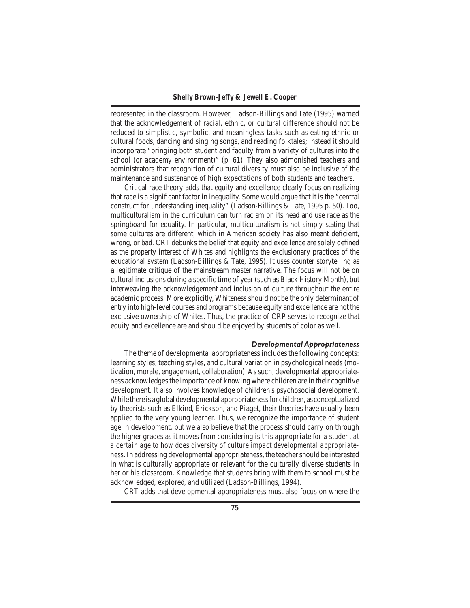represented in the classroom. However, Ladson-Billings and Tate (1995) warned that the acknowledgement of racial, ethnic, or cultural difference should not be reduced to simplistic, symbolic, and meaningless tasks such as eating ethnic or cultural foods, dancing and singing songs, and reading folktales; instead it should incorporate "bringing both student and faculty from a variety of cultures into the school (or academy environment)" (p. 61). They also admonished teachers and administrators that recognition of cultural diversity must also be inclusive of the maintenance and sustenance of high expectations of both students and teachers.

 Critical race theory adds that equity and excellence clearly focus on realizing that race is a significant factor in inequality. Some would argue that it is the "central construct for understanding inequality" (Ladson-Billings & Tate, 1995 p. 50). Too, multiculturalism in the curriculum can turn racism on its head and use race as the springboard for equality. In particular, multiculturalism is not simply stating that some cultures are different, which in American society has also meant deficient, wrong, or bad. CRT debunks the belief that equity and excellence are solely defined as the property interest of Whites and highlights the exclusionary practices of the educational system (Ladson-Billings  $&$  Tate, 1995). It uses counter storytelling as a legitimate critique of the mainstream master narrative. The focus will not be on cultural inclusions during a specific time of year (such as Black History Month), but interweaving the acknowledgement and inclusion of culture throughout the entire academic process. More explicitly, Whiteness should not be the only determinant of entry into high-level courses and programs because equity and excellence are not the exclusive ownership of Whites. Thus, the practice of CRP serves to recognize that equity and excellence are and should be enjoyed by students of color as well.

#### *Developmental Appropriateness*

The theme of developmental appropriateness includes the following concepts: learning styles, teaching styles, and cultural variation in psychological needs (motivation, morale, engagement, collaboration). As such, developmental appropriateness acknowledgesthe importance of knowing where children are in their cognitive development. It also involves knowledge of children's psychosocial development. While there is a global developmental appropriateness for children, as conceptualized by theorists such as Elkind, Erickson, and Piaget, their theories have usually been applied to the very young learner. Thus, we recognize the importance of student age in development, but we also believe that the process should carry on through the higher grades as it moves from considering *is this appropriate for a student at a certain age to how does diversity of culture impact developmental appropriateness*. In addressing developmental appropriateness, the teacher should be interested in what is culturally appropriate or relevant for the culturally diverse students in her or his classroom. Knowledge that students bring with them to school must be acknowledged, explored, and utilized (Ladson-Billings, 1994).

 CRT adds that developmental appropriateness must also focus on where the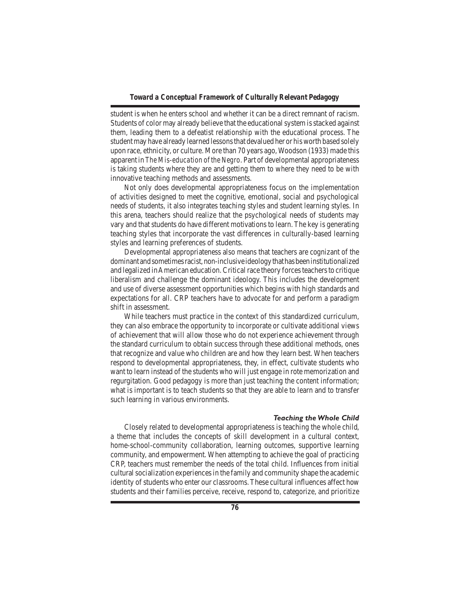## *Toward a Conceptual Framework of Culturally Relevant Pedagogy*

student is when he enters school and whether it can be a direct remnant of racism. Students of color may already believe that the educational system is stacked against them, leading them to a defeatist relationship with the educational process. The studentmay have already learned lessonsthat devalued her or his worth based solely upon race, ethnicity, or culture. More than 70 years ago,Woodson (1933) made this apparent in *The Mis-education of the Negro*. Part of developmental appropriateness is taking students where they are and getting them to where they need to be with innovative teaching methods and assessments.

 Not only does developmental appropriateness focus on the implementation of activities designed to meet the cognitive, emotional, social and psychological needs of students, it also integrates teaching styles and student learning styles. In this arena, teachers should realize that the psychological needs of students may vary and that students do have different motivations to learn.The key is generating teaching styles that incorporate the vast differences in culturally-based learning styles and learning preferences of students.

 Developmental appropriateness also means that teachers are cognizant of the dominant and sometimes racist, non-inclusive ideology that has been institutionalized and legalized in American education. Critical race theory forces teachers to critique liberalism and challenge the dominant ideology. This includes the development and use of diverse assessment opportunities which begins with high standards and expectations for all. CRP teachers have to advocate for and perform a paradigm shift in assessment.

 While teachers must practice in the context of this standardized curriculum, they can also embrace the opportunity to incorporate or cultivate additional views of achievement that will allow those who do not experience achievement through the standard curriculum to obtain success through these additional methods, ones that recognize and value who children are and how they learn best. When teachers respond to developmental appropriateness, they, in effect, cultivate students who want to learn instead of the students who will just engage in rote memorization and regurgitation. Good pedagogy is more than just teaching the content information; what is important is to teach students so that they are able to learn and to transfer such learning in various environments.

## *Teaching the Whole Child*

Closely related to developmental appropriateness is teaching the whole child, a theme that includes the concepts of skill development in a cultural context, home-school-community collaboration, learning outcomes, supportive learning community, and empowerment. When attempting to achieve the goal of practicing CRP, teachers must remember the needs of the total child. Influences from initial culturalsocialization experiencesin the family and community shape the academic identity of students who enter our classrooms. These cultural influences affect how students and their families perceive, receive, respond to, categorize, and prioritize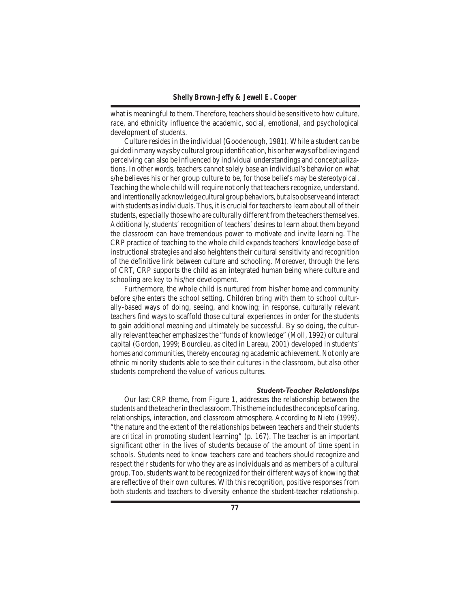what is meaningful to them. Therefore, teachers should be sensitive to how culture, race, and ethnicity influence the academic, social, emotional, and psychological development of students.

 Culture resides in the individual (Goodenough, 1981). While a student can be guided in many ways by cultural group identification, his or her ways of believing and perceiving can also be influenced by individual understandings and conceptualizations. In other words, teachers cannot solely base an individual's behavior on what s/he believes his or her group culture to be, for those beliefs may be stereotypical. Teaching the whole child will require not only that teachers recognize, understand, andintentionallyacknowledgeculturalgroupbehaviors,but alsoobserve andinteract with students asindividuals.Thus, it is crucial for teachersto learn about all of their students, especially those who are culturally different from the teachers themselves. Additionally, students'recognition of teachers' desires to learn about them beyond the classroom can have tremendous power to motivate and invite learning. The CRP practice of teaching to the whole child expands teachers' knowledge base of instructional strategies and also heightens their cultural sensitivity and recognition of the definitive link between culture and schooling. Moreover, through the lens of CRT, CRP supports the child as an integrated human being where culture and schooling are key to his/her development.

 Furthermore, the whole child is nurtured from his/her home and community before s/he enters the school setting. Children bring with them to school culturally-based ways of doing, seeing, and knowing; in response, culturally relevant teachers find ways to scaffold those cultural experiences in order for the students to gain additional meaning and ultimately be successful. By so doing, the culturally relevant teacher emphasizesthe "funds of knowledge" (Moll, 1992) or cultural capital (Gordon, 1999; Bourdieu, as cited in Lareau, 2001) developed in students' homes and communities, thereby encouraging academic achievement. Not only are ethnic minority students able to see their cultures in the classroom, but also other students comprehend the value of various cultures.

#### *Student-Teacher Relationships*

Our last CRP theme, from Figure 1, addresses the relationship between the students and the teacher in the classroom. This theme includes the concepts of caring, relationships, interaction, and classroom atmosphere. According to Nieto (1999), "the nature and the extent of the relationships between teachers and their students are critical in promoting student learning" (p. 167). The teacher is an important significant other in the lives of students because of the amount of time spent in schools. Students need to know teachers care and teachers should recognize and respect their students for who they are as individuals and as members of a cultural group.Too, students want to be recognized for their different ways of knowing that are reflective of their own cultures. With this recognition, positive responses from both students and teachers to diversity enhance the student-teacher relationship.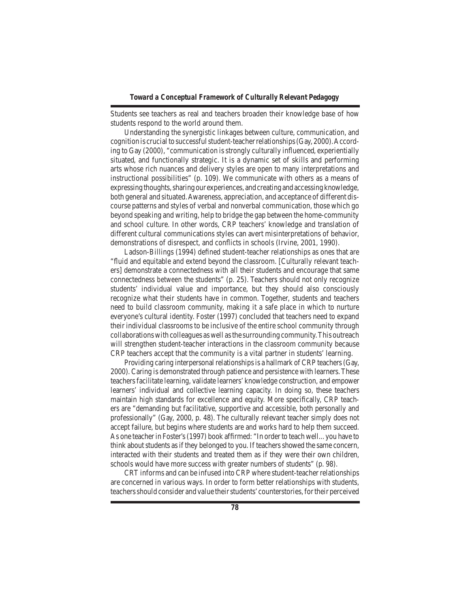Students see teachers as real and teachers broaden their knowledge base of how students respond to the world around them.

 Understanding the synergistic linkages between culture, communication, and cognition is crucial to successful student-teacher relationships  $(Gay, 2000)$ . According to Gay (2000), "communication isstrongly culturally influenced, experientially situated, and functionally strategic. It is a dynamic set of skills and performing arts whose rich nuances and delivery styles are open to many interpretations and instructional possibilities" (p. 109). We communicate with others as a means of expressing thoughts, sharing our experiences, and creating and accessing knowledge, both general and situated.Awareness, appreciation, and acceptance of different discourse patterns and styles of verbal and nonverbal communication, those which go beyond speaking and writing, help to bridge the gap between the home-community and school culture. In other words, CRP teachers' knowledge and translation of different cultural communications styles can avert misinterpretations of behavior, demonstrations of disrespect, and conflicts in schools (Irvine, 2001, 1990).

 Ladson-Billings (1994) defined student-teacher relationships as ones that are "fluid and equitable and extend beyond the classroom. [Culturally relevant teachers] demonstrate a connectedness *with* all their students and encourage that same connectedness *between* the students" (p. 25). Teachers should not only recognize students' individual value and importance, but they should also consciously recognize what their students have in common. Together, students and teachers need to build classroom community, making it a safe place in which to nurture everyone's cultural identity. Foster (1997) concluded that teachers need to expand their individual classrooms to be inclusive of the entire school community through collaborationswith colleagues aswell asthe surrounding community.This outreach will strengthen student-teacher interactions in the classroom community because CRP teachers accept that the community is a vital partner in students' learning.

Providing caring interpersonal relationships is a hallmark of CRP teachers (Gay, 2000). Caring is demonstrated through patience and persistence with learners.These teachersfacilitate learning, validate learners'knowledge construction, and empower learners' individual and collective learning capacity. In doing so, these teachers maintain high standards for excellence and equity. More specifically, CRP teachers are "demanding but facilitative, supportive and accessible, both personally and professionally" (Gay, 2000, p. 48). The culturally relevant teacher simply does not accept failure, but begins where students are and works hard to help them succeed. As one teacher in Foster's(1997) book affirmed: "In order to teach well... you have to think about students as if they belonged to you. If teachers showed the same concern, interacted with their students and treated them as if they were their own children, schools would have more success with greater numbers of students" (p. 98).

 CRT informs and can be infused into CRP where student-teacher relationships are concerned in various ways. In order to form better relationships with students, teachers should consider and value their students' counterstories, for their perceived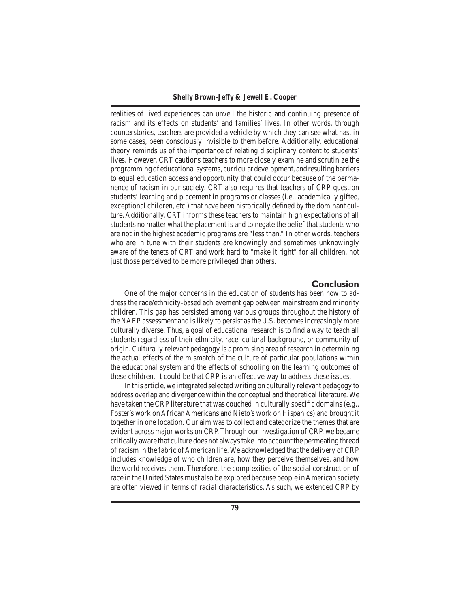realities of lived experiences can unveil the historic and continuing presence of racism and its effects on students' and families' lives. In other words, through counterstories, teachers are provided a vehicle by which they can see what has, in some cases, been consciously invisible to them before. Additionally, educational theory reminds us of the importance of relating disciplinary content to students' lives. However, CRT cautions teachers to more closely examine and scrutinize the programming of educational systems, curricular development, and resulting barriers to equal education access and opportunity that could occur because of the permanence of racism in our society. CRT also requires that teachers of CRP question students'learning and placement in programs or classes (i.e., academically gifted, exceptional children, etc.) that have been historically defined by the dominant culture. Additionally, CRT informs these teachers to maintain high expectations of all students no matter what the placement is and to negate the belief that students who are not in the highest academic programs are "less than." In other words, teachers who are in tune with their students are knowingly and sometimes unknowingly aware of the tenets of CRT and work hard to "make it right" for all children, not just those perceived to be more privileged than others.

# **Conclusion**

 One of the major concerns in the education of students has been how to address the race/ethnicity-based achievement gap between mainstream and minority children. This gap has persisted among various groups throughout the history of the NAEP assessment and is likely to persist as the U.S. becomes increasingly more culturally diverse. Thus, a goal of educational research is to find a way to teach all students regardless of their ethnicity, race, cultural background, or community of origin. Culturally relevant pedagogy is a promising area of research in determining the actual effects of the mismatch of the culture of particular populations within the educational system and the effects of schooling on the learning outcomes of these children. It could be that CRP is an effective way to address these issues.

 In this article, we integrated selected writing on culturally relevant pedagogy to address overlap and divergence within the conceptual and theoretical literature.We have taken the CRP literature that was couched in culturally specific domains(e.g., Foster's work on African Americans and Nieto's work on Hispanics) and brought it together in one location. Our aim was to collect and categorize the themes that are evident across major works on CRP. Through our investigation of CRP, we became critically aware that culture does not alwaystake into account the permeating thread of racism in the fabric ofAmerican life.We acknowledged that the delivery of CRP includes knowledge of who children are, how they perceive themselves, and how the world receives them. Therefore, the complexities of the social construction of race in the United States must also be explored because people inAmerican society are often viewed in terms of racial characteristics. As such, we extended CRP by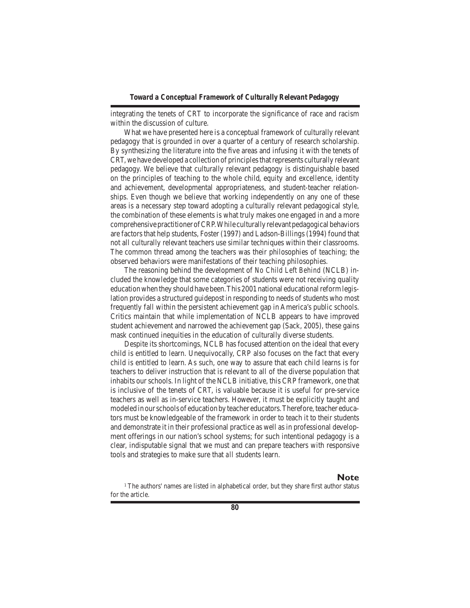integrating the tenets of CRT to incorporate the significance of race and racism within the discussion of culture.

 What we have presented here is a conceptual framework of culturally relevant pedagogy that is grounded in over a quarter of a century of research scholarship. By synthesizing the literature into the five areas and infusing it with the tenets of CRT, we have developed a collection of principles that represents culturally relevant pedagogy. We believe that culturally relevant pedagogy is distinguishable based on the principles of teaching to the whole child, equity and excellence, identity and achievement, developmental appropriateness, and student-teacher relationships. Even though we believe that working independently on any one of these areas is a necessary step toward adopting a culturally relevant pedagogical style, the combination of these elements is what truly makes one engaged in and a more comprehensive practitioner of CRP. While culturally relevant pedagogical behaviors are factors that help students, Foster (1997) and Ladson-Billings (1994) found that not all culturally relevant teachers use similar techniques within their classrooms. The common thread among the teachers was their philosophies of teaching; the observed behaviors were manifestations of their teaching philosophies.

 The reasoning behind the development of *No Child Left Behind* (NCLB) included the knowledge that some categories of students were not receiving quality education when they should have been. This 2001 national educational reform legislation provides a structured guidepost in responding to needs of students who most frequently fall within the persistent achievement gap in America's public schools. Critics maintain that while implementation of NCLB appears to have improved student achievement and narrowed the achievement gap (Sack, 2005), these gains mask continued inequities in the education of culturally diverse students.

 Despite its shortcomings, NCLB has focused attention on the ideal that every child is entitled to learn. Unequivocally, CRP also focuses on the fact that every child is entitled to learn. As such, one way to assure that each child learns is for teachers to deliver instruction that is relevant to all of the diverse population that inhabits our schools. In light of the NCLB initiative, this CRP framework, one that is inclusive of the tenets of CRT, is valuable because it is useful for pre-service teachers as well as in-service teachers. However, it must be explicitly taught and modeled in ourschools of education by teacher educators.Therefore,teacher educators must be knowledgeable of the framework in order to teach it to their students and demonstrate it in their professional practice as well as in professional development offerings in our nation's school systems; for such intentional pedagogy is a clear, indisputable signal that we must and can prepare teachers with responsive tools and strategies to make sure that *all* students learn.

## **Note**

<sup>&</sup>lt;sup>1</sup> The authors' names are listed in alphabetical order, but they share first author status for the article.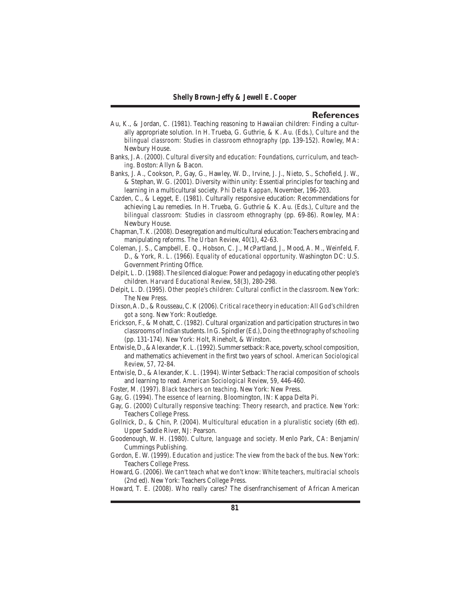#### **References**

- Au, K., & Jordan, C. (1981). Teaching reasoning to Hawaiian children: Finding a culturally appropriate solution. In H. Trueba, G. Guthrie, & K. Au. (Eds.), *Culture and the bilingual classroom: Studies in classroom ethnography* (pp. 139-152). Rowley, MA: Newbury House.
- Banks, J. A. (2000). *Cultural diversity and education: Foundations, curriculum, and teaching*. Boston: Allyn & Bacon.
- Banks, J. A., Cookson, P., Gay, G., Hawley, W. D., Irvine, J. J., Nieto, S., Schofield, J. W., & Stephan, W. G. (2001). Diversity within unity: Essential principles for teaching and learning in a multicultural society. *Phi Delta Kappan*, November, 196-203.
- Cazden, C., & Legget, E. (1981). Culturally responsive education: Recommendations for achieving Lau remedies. In H. Trueba, G. Guthrie & K. Au. (Eds.), *Culture and the bilingual classroom: Studies in classroom ethnography* (pp. 69-86). Rowley, MA: Newbury House.
- Chapman,T. K.(2008). Desegregation and multicultural education:Teachers embracing and manipulating reforms. *The Urban Review, 40*(1), 42-63.
- Coleman, J. S., Campbell, E. Q., Hobson, C. J., McPartland, J., Mood, A. M., Weinfeld, F. D., & York, R. L. (1966). *Equality of educational opportunity*. Washington DC: U.S. Government Printing Office.
- Delpit, L. D. (1988).The silenced dialogue: Power and pedagogy in educating other people's children. *Harvard Educational Review, 58*(3), 280-298.
- Delpit, L. D. (1995). *Other people's children: Cultural conflict in the classroom*. NewYork: The New Press.
- Dixson,A. D.,&Rousseau,C. K (2006).*Critical race theory in education: All God's children got a song*. New York: Routledge.
- Erickson, F., & Mohatt, C. (1982). Cultural organization and participation structures in two classrooms ofIndian students.In G. Spindler(Ed.), *Doing the ethnography of schooling* (pp. 131-174). New York: Holt, Rineholt, & Winston.
- Entwisle,D.,&Alexander,K.L.(1992).Summersetback:Race,poverty,school composition, and mathematics achievement in the first two years of school. *American Sociological Review, 57*, 72-84.
- Entwisle, D., &Alexander, K. L. (1994). Winter Setback:The racial composition of schools and learning to read. *American Sociological Review, 59*, 446-460.
- Foster, M. (1997). *Black teachers on teaching*. New York: New Press.
- Gay, G. (1994). *The essence of learning*. Bloomington, IN: Kappa Delta Pi.
- Gay, G. (2000) *Culturally responsive teaching: Theory research, and practice*. New York: Teachers College Press.
- Gollnick, D., & Chin, P. (2004). *Multicultural education in a pluralistic society* (6th ed). Upper Saddle River, NJ: Pearson.
- Goodenough, W. H. (1980). *Culture, language and society*. Menlo Park, CA: Benjamin/ Cummings Publishing.
- Gordon, E. W. (1999). *Education and justice: The view from the back of the bus*. NewYork: Teachers College Press.
- Howard, G. (2006). *We can't teach what we don't know: White teachers, multiracial schools* (2nd ed). New York: Teachers College Press.
- Howard, T. E. (2008). Who really cares? The disenfranchisement of African American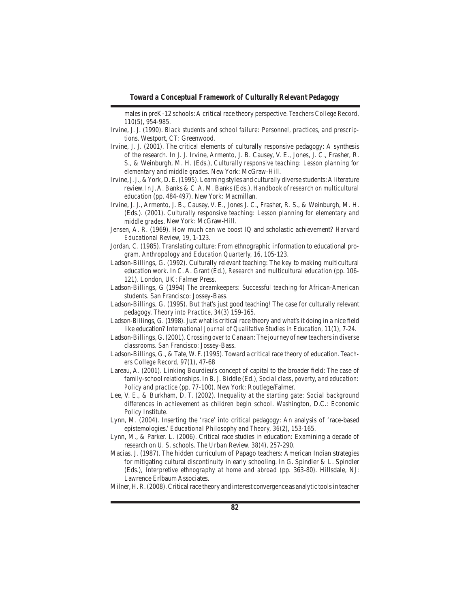malesin preK-12 schools:A critical race theory perspective. *Teachers College Record, 110*(5), 954-985.

- Irvine, J. J. (1990). *Black students and school failure: Personnel, practices, and prescriptions*. Westport, CT: Greenwood.
- Irvine, J. J. (2001). The critical elements of culturally responsive pedagogy: A synthesis of the research. In J. J. Irvine, Armento, J. B. Causey, V. E., Jones, J. C., Frasher, R. S., & Weinburgh, M. H. (Eds.), *Culturally responsive teaching: Lesson planning for elementary and middle grades*. New York: McGraw-Hill.
- Irvine, J. J., & York, D. E. (1995). Learning styles and culturally diverse students: A literature review. In J.A. Banks & C.A. M. Banks(Eds.), *Handbook of research on multicultural education* (pp. 484-497). New York: Macmillan.
- Irvine, J. J., Armento, J. B., Causey, V. E., Jones J. C., Frasher, R. S., & Weinburgh, M. H. (Eds.). (2001). *Culturally responsive teaching: Lesson planning for elementary and middle grades*. New York: McGraw-Hill.
- Jensen, A. R. (1969). How much can we boost IQ and scholastic achievement? *Harvard Educational Review, 19*, 1-123.
- Jordan, C. (1985). Translating culture: From ethnographic information to educational program. *Anthropology and Education Quarterly, 16*, 105-123.
- Ladson-Billings, G. (1992). Culturally relevant teaching: The key to making multicultural education work. In C. A. Grant (Ed.), *Research and multicultural education* (pp. 106- 121). London, UK: Falmer Press.
- Ladson-Billings, G (1994) *The dreamkeepers: Successful teaching for African-American students*. San Francisco: Jossey-Bass.
- Ladson-Billings, G. (1995). But that's just good teaching! The case for culturally relevant pedagogy. *Theory into Practice, 34*(3) 159-165.
- Ladson-Billings, G. (1998). Just what is critical race theory and what's it doing in a nice field like education? *International Journal of Qualitative Studies in Education, 11*(1), 7-24.
- Ladson-Billings, G.(2001).*Crossing over to Canaan: The journey of new teachers in diverse classrooms*. San Francisco: Jossey-Bass.
- Ladson-Billings, G., &Tate, W. F. (1995).Toward a critical race theory of education. *Teachers College Record, 97*(1), 47-68
- Lareau, A. (2001). Linking Bourdieu's concept of capital to the broader field: The case of family-school relationships. In B. J. Biddle (Ed.), *Social class, poverty, and education: Policy and practice* (pp. 77-100). New York: Routlege/Falmer.
- Lee, V. E., & Burkham, D. T. (2002). *Inequality at the starting gate: Social background differences in achievement as children begin school*. Washington, D.C.: Economic Policy Institute.
- Lynn, M. (2004). Inserting the 'race' into critical pedagogy: An analysis of 'race-based epistemologies.' *Educational Philosophy and Theory, 36*(2), 153-165.
- Lynn, M., & Parker. L. (2006). Critical race studies in education: Examining a decade of research on U. S. schools. *The Urban Review, 38*(4), 257-290.
- Macias, J. (1987). The hidden curriculum of Papago teachers: American Indian strategies for mitigating cultural discontinuity in early schooling. In G. Spindler & L. Spindler (Eds.), *Interpretive ethnography at home and abroad* (pp. 363-80). Hillsdale, NJ: Lawrence Erlbaum Associates.

Milner, H.R. (2008). Critical race theory and interest convergence as analytic tools in teacher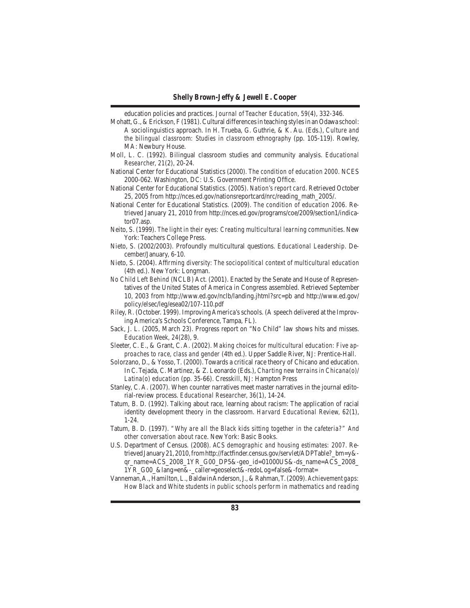education policies and practices. *Journal of Teacher Education, 59*(4), 332-346.

- Mohatt, G., & Erickson, F (1981). Cultural differences in teaching styles in an Odawa school: A sociolinguistics approach. In H. Trueba, G. Guthrie, & K. Au. (Eds.), *Culture and the bilingual classroom: Studies in classroom ethnography* (pp. 105-119). Rowley, MA: Newbury House.
- Moll, L. C. (1992). Bilingual classroom studies and community analysis. *Educational Researcher, 21*(2), 20-24.
- National Center for Educational Statistics (2000). *The condition of education 2000*. NCES 2000-062. Washington, DC: U.S. Government Printing Office.
- National Center for Educational Statistics. (2005). *Nation's report card*. Retrieved October 25, 2005 from http://nces.ed.gov/nationsreportcard/nrc/reading\_math\_2005/.
- National Center for Educational Statistics. (2009). *The condition of education 2006*. Retrieved January 21, 2010 from http://nces.ed.gov/programs/coe/2009/section1/indicator07.asp.
- Neito, S. (1999). *The light in their eyes: Creating multicultural learning communities*. New York: Teachers College Press.
- Nieto, S. (2002/2003). Profoundly multicultural questions. *Educational Leadership*. December/January, 6-10.
- Nieto, S. (2004). *Affirming diversity: The sociopolitical context of multicultural education* (4th ed.). New York: Longman.
- *No Child Left Behind* (NCLB) Act. (2001). Enacted by the Senate and House of Representatives of the United States of America in Congress assembled. Retrieved September 10, 2003 from http://www.ed.gov/nclb/landing.jhtml?src=pb and http://www.ed.gov/ policy/elsec/leg/esea02/107-110.pdf
- Riley, R. (October. 1999). Improving America's schools. (A speech delivered at the Improving America's Schools Conference, Tampa, FL).
- Sack, J. L. (2005, March 23). Progress report on "No Child" law shows hits and misses. *Education Week, 24*(28), 9.
- Sleeter, C. E., & Grant, C. A. (2002). *Making choices for multicultural education: Five approaches to race, class and gender* (4th ed.). Upper Saddle River, NJ: Prentice-Hall.
- Solorzano, D., & Yosso, T. (2000). Towards a critical race theory of Chicano and education. In C.Tejada, C. Martinez, & Z. Leonardo (Eds.), *Charting new terrains in Chicana(o)/ Latina(o) education* (pp. 35-66). Cresskill, NJ: Hampton Press
- Stanley, C. A. (2007). When counter narratives meet master narratives in the journal editorial-review process. *Educational Researcher, 36*(1), 14-24.
- Tatum, B. D. (1992). Talking about race, learning about racism: The application of racial identity development theory in the classroom. *Harvard Educational Review, 62*(1), 1-24.
- Tatum, B. D. (1997). *"Why are all the Black kids sitting together in the cafeteria?" And other conversation about race*. New York: Basic Books.
- U.S. Department of Census. (2008). *ACS demographic and housing estimates: 2007*. RetrievedJanuary21,2010,fromhttp://factfinder.census.gov/servlet/ADPTable?\_bm=y& qr\_name=ACS\_2008\_1YR\_G00\_DP5&-geo\_id=01000US&-ds\_name=ACS\_2008\_ 1YR\_G00\_&lang=en&-\_caller=geoselect&-redoLog=false&-format=

Vanneman,A.,Hamilton,L.,BaldwinAnderson,J.,&Rahman,T.(2009).*Achievement gaps: How Black and White students in public schools perform in mathematics and reading*